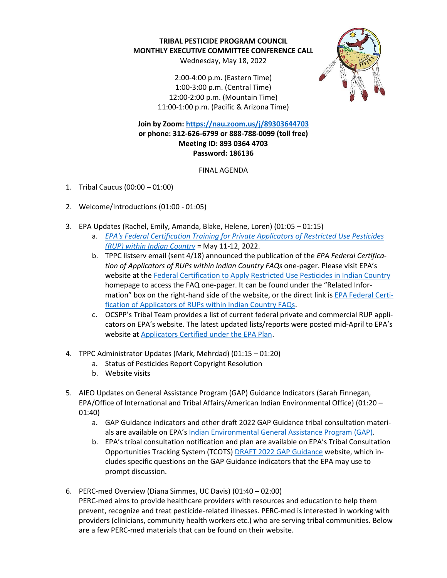**TRIBAL PESTICIDE PROGRAM COUNCIL MONTHLY EXECUTIVE COMMITTEE CONFERENCE CALL**

Wednesday, May 18, 2022

2:00-4:00 p.m. (Eastern Time) 1:00-3:00 p.m. (Central Time) 12:00-2:00 p.m. (Mountain Time) 11:00-1:00 p.m. (Pacific & Arizona Time)



**Join by Zoom[: https://nau.zoom.us/j/89303644703](https://nau.zoom.us/j/89303644703) or phone: 312-626-6799 or 888-788-0099 (toll free) Meeting ID: 893 0364 4703 Password: 186136**

FINAL AGENDA

- 1. Tribal Caucus (00:00 01:00)
- 2. Welcome/Introductions (01:00 01:05)
- 3. EPA Updates (Rachel, Emily, Amanda, Blake, Helene, Loren) (01:05 01:15)
	- a. *[EPA's Federal Certification Training for Private Applicators of Restricted Use Pesticides](https://www.epa.gov/pesticide-applicator-certification-indian-country/training-private-applicators-under-epa-plan#applicator%20training%20dates)  [\(RUP\) within Indian Country](https://www.epa.gov/pesticide-applicator-certification-indian-country/training-private-applicators-under-epa-plan#applicator%20training%20dates)* = May 11-12, 2022.
	- b. TPPC listserv email (sent 4/18) announced the publication of the *EPA Federal Certification of Applicators of RUPs within Indian Country FAQs* one-pager. Please visit EPA's website at th[e Federal Certification to Apply Restricted Use Pesticides in Indian Country](https://www.epa.gov/pesticide-applicator-certification-indian-country/applicators-certified-under-epa-plan) homepage to access the FAQ one-pager. It can be found under the "Related Information" box on the right-hand side of the website, or the direct link i[s EPA Federal Certi](https://www.epa.gov/pesticide-applicator-certification-indian-country/epa-federal-certification-applicators-rups-within)[fication of Applicators of RUPs within Indian Country FAQs.](https://www.epa.gov/pesticide-applicator-certification-indian-country/epa-federal-certification-applicators-rups-within)
	- c. OCSPP's Tribal Team provides a list of current federal private and commercial RUP applicators on EPA's website. The latest updated lists/reports were posted mid-April to EPA's website at [Applicators Certified under the EPA Plan.](https://www.epa.gov/pesticide-applicator-certification-indian-country/applicators-certified-under-epa-plan)
- 4. TPPC Administrator Updates (Mark, Mehrdad) (01:15 01:20)
	- a. Status of Pesticides Report Copyright Resolution
	- b. Website visits
- 5. AIEO Updates on General Assistance Program (GAP) Guidance Indicators (Sarah Finnegan, EPA/Office of International and Tribal Affairs/American Indian Environmental Office) (01:20 – 01:40)
	- a. GAP Guidance indicators and other draft 2022 GAP Guidance tribal consultation materials are available on EPA's [Indian Environmental General Assistance Program \(GAP\).](https://www.epa.gov/tribal/indian-environmental-general-assistance-program-gap#consultation-gap-guidance)
	- b. EPA's tribal consultation notification and plan are available on EPA's Tribal Consultation Opportunities Tracking System (TCOTS[\) DRAFT 2022 GAP Guidance](https://tcots.epa.gov/ords/tcotspub/f?p=106:5::1462::::) website, which includes specific questions on the GAP Guidance indicators that the EPA may use to prompt discussion.
- 6. PERC-med Overview (Diana Simmes, UC Davis) (01:40 02:00) PERC-med aims to provide healthcare providers with resources and education to help them prevent, recognize and treat pesticide-related illnesses. PERC-med is interested in working with providers (clinicians, community health workers etc.) who are serving tribal communities. Below are a few PERC-med materials that can be found on their website.